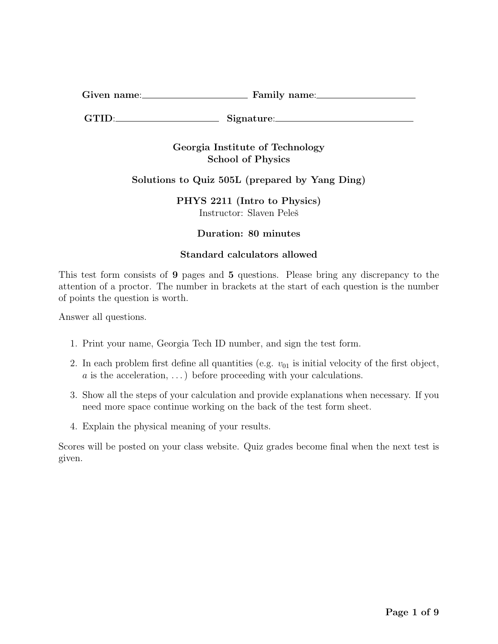| $\sim\cdot$<br>Given name: | Family name: |
|----------------------------|--------------|
|                            |              |

GTID: Signature:

## Georgia Institute of Technology School of Physics

# Solutions to Quiz 505L (prepared by Yang Ding)

PHYS 2211 (Intro to Physics) Instructor: Slaven Peleš

### Duration: 80 minutes

## Standard calculators allowed

This test form consists of 9 pages and 5 questions. Please bring any discrepancy to the attention of a proctor. The number in brackets at the start of each question is the number of points the question is worth.

Answer all questions.

- 1. Print your name, Georgia Tech ID number, and sign the test form.
- 2. In each problem first define all quantities (e.g.  $v_{01}$  is initial velocity of the first object,  $a$  is the acceleration, ...) before proceeding with your calculations.
- 3. Show all the steps of your calculation and provide explanations when necessary. If you need more space continue working on the back of the test form sheet.
- 4. Explain the physical meaning of your results.

Scores will be posted on your class website. Quiz grades become final when the next test is given.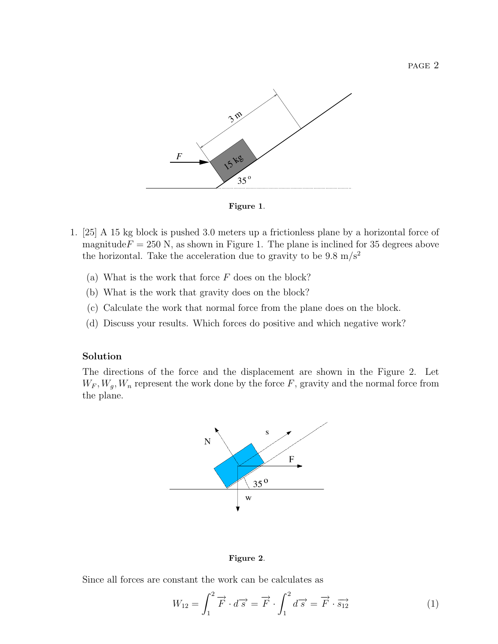

Figure 1.

- 1. [25] A 15 kg block is pushed 3.0 meters up a frictionless plane by a horizontal force of magnitude $F = 250$  N, as shown in Figure 1. The plane is inclined for 35 degrees above the horizontal. Take the acceleration due to gravity to be  $9.8 \text{ m/s}^2$ 
	- (a) What is the work that force  $F$  does on the block?
	- (b) What is the work that gravity does on the block?
	- (c) Calculate the work that normal force from the plane does on the block.
	- (d) Discuss your results. Which forces do positive and which negative work?

#### Solution

The directions of the force and the displacement are shown in the Figure 2. Let  $W_F, W_g, W_n$  represent the work done by the force F, gravity and the normal force from the plane.



#### Figure 2.

Since all forces are constant the work can be calculates as

$$
W_{12} = \int_{1}^{2} \overrightarrow{F} \cdot d\overrightarrow{s} = \overrightarrow{F} \cdot \int_{1}^{2} d\overrightarrow{s} = \overrightarrow{F} \cdot \overrightarrow{s}_{12}
$$
 (1)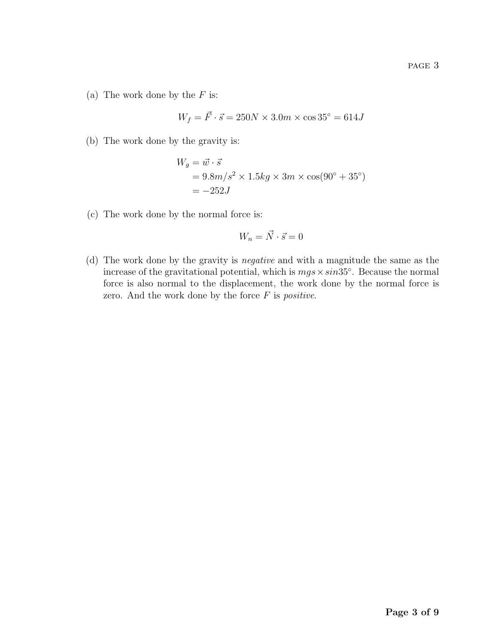(a) The work done by the  $F$  is:

$$
W_f = \vec{F} \cdot \vec{s} = 250N \times 3.0m \times \cos 35^\circ = 614J
$$

(b) The work done by the gravity is:

$$
W_g = \vec{w} \cdot \vec{s}
$$
  
= 9.8m/s<sup>2</sup> × 1.5kg × 3m × cos(90° + 35°)  
= -252J

(c) The work done by the normal force is:

$$
W_n = \vec{N} \cdot \vec{s} = 0
$$

(d) The work done by the gravity is negative and with a magnitude the same as the increase of the gravitational potential, which is  $mgs \times sin35^\circ$ . Because the normal force is also normal to the displacement, the work done by the normal force is zero. And the work done by the force  $F$  is *positive*.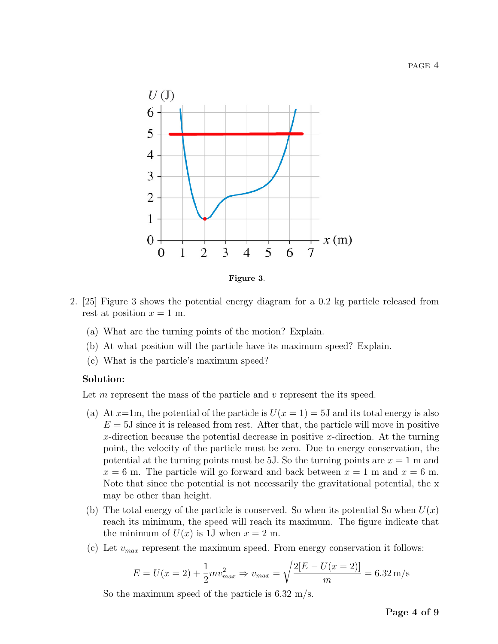

Figure 3.

- 2. [25] Figure 3 shows the potential energy diagram for a 0.2 kg particle released from rest at position  $x = 1$  m.
	- (a) What are the turning points of the motion? Explain.
	- (b) At what position will the particle have its maximum speed? Explain.
	- (c) What is the particle's maximum speed?

#### Solution:

Let  $m$  represent the mass of the particle and  $\nu$  represent the its speed.

- (a) At  $x=1$ m, the potential of the particle is  $U(x=1)=5J$  and its total energy is also  $E = 5J$  since it is released from rest. After that, the particle will move in positive x-direction because the potential decrease in positive x-direction. At the turning point, the velocity of the particle must be zero. Due to energy conservation, the potential at the turning points must be 5J. So the turning points are  $x = 1$  m and  $x = 6$  m. The particle will go forward and back between  $x = 1$  m and  $x = 6$  m. Note that since the potential is not necessarily the gravitational potential, the x may be other than height.
- (b) The total energy of the particle is conserved. So when its potential So when  $U(x)$ reach its minimum, the speed will reach its maximum. The figure indicate that the minimum of  $U(x)$  is 1J when  $x = 2$  m.
- (c) Let  $v_{max}$  represent the maximum speed. From energy conservation it follows:

$$
E = U(x = 2) + \frac{1}{2}mv_{max}^2 \Rightarrow v_{max} = \sqrt{\frac{2[E - U(x = 2)]}{m}} = 6.32 \,\mathrm{m/s}
$$

So the maximum speed of the particle is 6.32 m/s.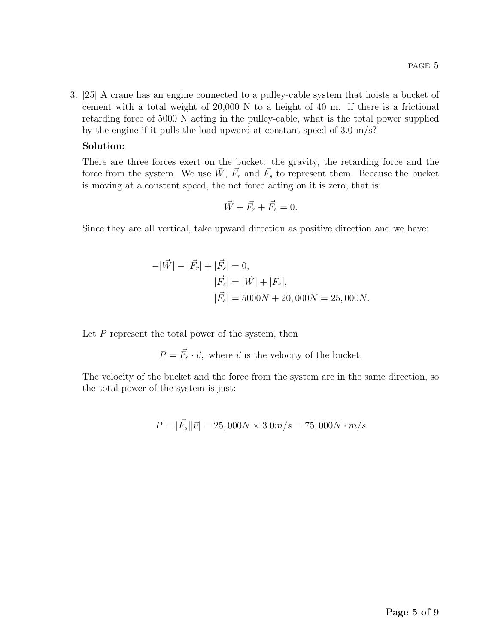3. [25] A crane has an engine connected to a pulley-cable system that hoists a bucket of cement with a total weight of 20,000 N to a height of 40 m. If there is a frictional retarding force of 5000 N acting in the pulley-cable, what is the total power supplied by the engine if it pulls the load upward at constant speed of 3.0 m/s?

### Solution:

There are three forces exert on the bucket: the gravity, the retarding force and the force from the system. We use  $\vec{W}$ ,  $\vec{F}_r$  and  $\vec{F}_s$  to represent them. Because the bucket is moving at a constant speed, the net force acting on it is zero, that is:

$$
\vec{W} + \vec{F_r} + \vec{F_s} = 0.
$$

Since they are all vertical, take upward direction as positive direction and we have:

$$
-|\vec{W}| - |\vec{F_r}| + |\vec{F_s}| = 0,
$$
  
\n
$$
|\vec{F_s}| = |\vec{W}| + |\vec{F_r}|,
$$
  
\n
$$
|\vec{F_s}| = 5000N + 20,000N = 25,000N.
$$

Let  $P$  represent the total power of the system, then

 $P = \vec{F}_s \cdot \vec{v}$ , where  $\vec{v}$  is the velocity of the bucket.

The velocity of the bucket and the force from the system are in the same direction, so the total power of the system is just:

$$
P = |\vec{F_s}||\vec{v}| = 25,000N \times 3.0m/s = 75,000N \cdot m/s
$$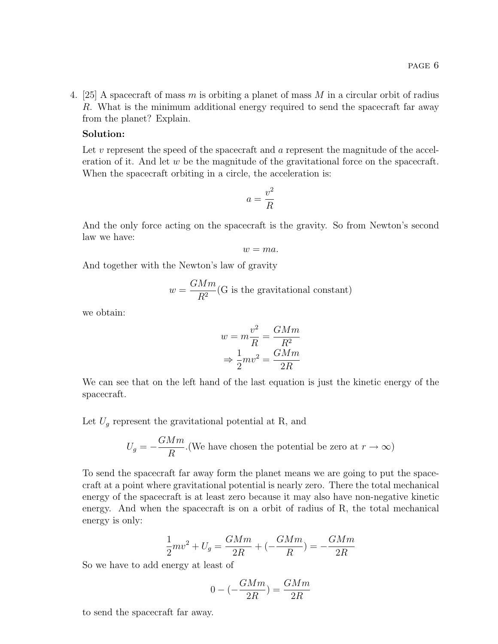4. [25] A spacecraft of mass m is orbiting a planet of mass  $M$  in a circular orbit of radius R. What is the minimum additional energy required to send the spacecraft far away from the planet? Explain.

### Solution:

Let  $v$  represent the speed of the spacecraft and  $a$  represent the magnitude of the acceleration of it. And let  $w$  be the magnitude of the gravitational force on the spacecraft. When the spacecraft orbiting in a circle, the acceleration is:

$$
a = \frac{v^2}{R}
$$

And the only force acting on the spacecraft is the gravity. So from Newton's second law we have:

$$
w = ma.
$$

And together with the Newton's law of gravity

$$
w=\frac{GMm}{R^2}(\textbf{G}
$$
 is the gravitational constant)

we obtain:

$$
w = m\frac{v^2}{R} = \frac{GMm}{R^2}
$$

$$
\Rightarrow \frac{1}{2}mv^2 = \frac{GMm}{2R}
$$

We can see that on the left hand of the last equation is just the kinetic energy of the spacecraft.

Let  $U_q$  represent the gravitational potential at R, and

$$
U_g = -\frac{GMm}{R}
$$
 (We have chosen the potential be zero at  $r \to \infty$ )

To send the spacecraft far away form the planet means we are going to put the spacecraft at a point where gravitational potential is nearly zero. There the total mechanical energy of the spacecraft is at least zero because it may also have non-negative kinetic energy. And when the spacecraft is on a orbit of radius of R, the total mechanical energy is only:

$$
\frac{1}{2}mv^2 + U_g = \frac{GMm}{2R} + (-\frac{GMm}{R}) = -\frac{GMm}{2R}
$$

So we have to add energy at least of

$$
0 - \left(-\frac{GMm}{2R}\right) = \frac{GMm}{2R}
$$

to send the spacecraft far away.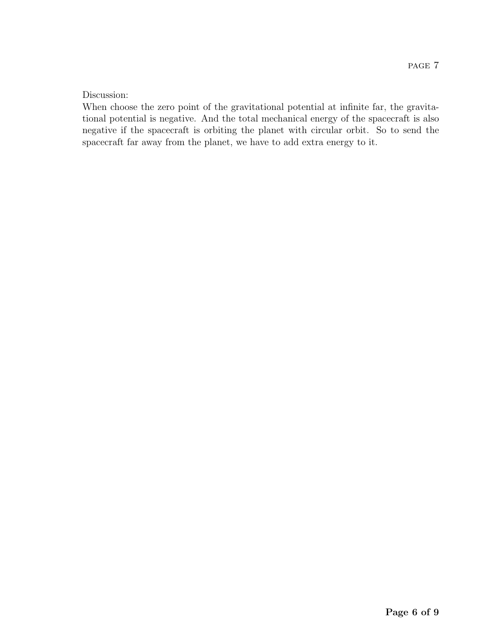### Discussion:

When choose the zero point of the gravitational potential at infinite far, the gravitational potential is negative. And the total mechanical energy of the spacecraft is also negative if the spacecraft is orbiting the planet with circular orbit. So to send the spacecraft far away from the planet, we have to add extra energy to it.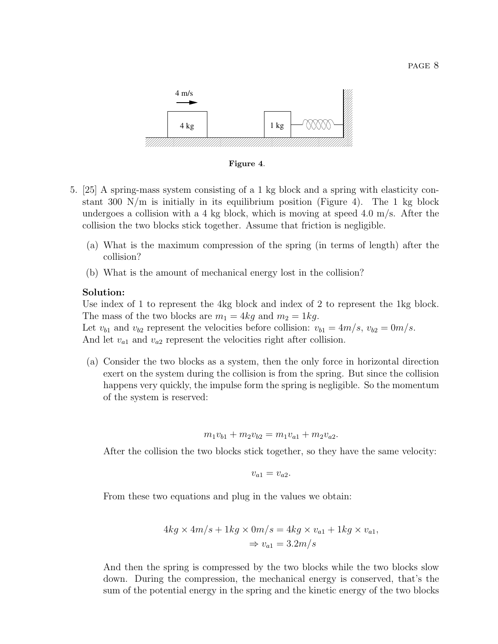

Figure 4.

- 5. [25] A spring-mass system consisting of a 1 kg block and a spring with elasticity constant 300  $\mathrm{N/m}$  is initially in its equilibrium position (Figure 4). The 1 kg block undergoes a collision with a 4 kg block, which is moving at speed 4.0 m/s. After the collision the two blocks stick together. Assume that friction is negligible.
	- (a) What is the maximum compression of the spring (in terms of length) after the collision?
	- (b) What is the amount of mechanical energy lost in the collision?

### Solution:

Use index of 1 to represent the 4kg block and index of 2 to represent the 1kg block. The mass of the two blocks are  $m_1 = 4kg$  and  $m_2 = 1kg$ .

Let  $v_{b1}$  and  $v_{b2}$  represent the velocities before collision:  $v_{b1} = 4m/s$ ,  $v_{b2} = 0m/s$ . And let  $v_{a1}$  and  $v_{a2}$  represent the velocities right after collision.

(a) Consider the two blocks as a system, then the only force in horizontal direction exert on the system during the collision is from the spring. But since the collision happens very quickly, the impulse form the spring is negligible. So the momentum of the system is reserved:

$$
m_1v_{b1} + m_2v_{b2} = m_1v_{a1} + m_2v_{a2}.
$$

After the collision the two blocks stick together, so they have the same velocity:

$$
v_{a1}=v_{a2}.
$$

From these two equations and plug in the values we obtain:

$$
4kg \times 4m/s + 1kg \times 0m/s = 4kg \times v_{a1} + 1kg \times v_{a1},
$$
  

$$
\Rightarrow v_{a1} = 3.2m/s
$$

And then the spring is compressed by the two blocks while the two blocks slow down. During the compression, the mechanical energy is conserved, that's the sum of the potential energy in the spring and the kinetic energy of the two blocks